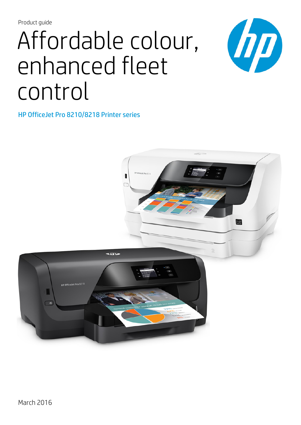Product guide

# Affordable colour, enhanced fleet control



HP OfficeJet Pro 8210/8218 Printer series

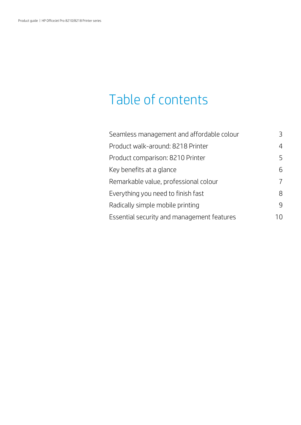## Table of contents

| Seamless management and affordable colour  | 3              |
|--------------------------------------------|----------------|
| Product walk-around: 8218 Printer          | $\overline{4}$ |
| Product comparison: 8210 Printer           | 5              |
| Key benefits at a glance                   | 6              |
| Remarkable value, professional colour      | 7              |
| Everything you need to finish fast         | 8              |
| Radically simple mobile printing           | 9              |
| Essential security and management features | 10             |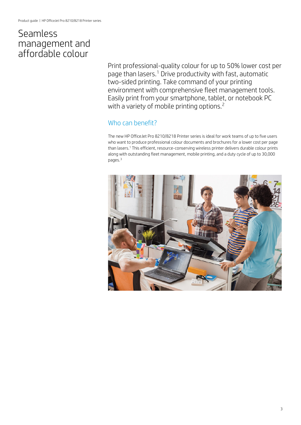## <span id="page-2-0"></span>**Seamless** management and affordable colour

<span id="page-2-1"></span>Print professional-quality colour for up to 50% lower cost per page than lasers. [1](#page-3-1) Drive productivity with fast, automatic two-sided printing. Take command of your printing environment with comprehensive fleet management tools. Easily print from your smartphone, tablet, or notebook PC with a variety of mobile printing options.<sup>[2](#page-3-2)</sup>

#### <span id="page-2-3"></span>Who can benefit?

The new HP OfficeJet Pro 8210/8218 Printer series is ideal for work teams of up to five users who want to produce professional colour documents and brochures for a lower cost per page than lasers.<sup>1</sup> This efficient, resource-conserving wireless printer delivers durable colour prints along with outstanding fleet management, mobile printing, and a duty cycle of up to 30,000 pages.[3](#page-3-3)

<span id="page-2-2"></span>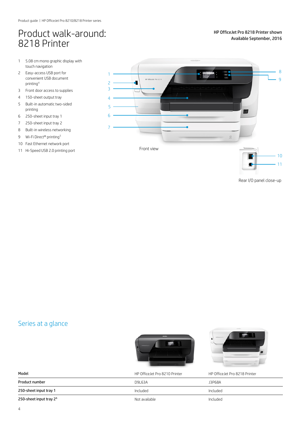## <span id="page-3-0"></span>Product walk-around: 8218 Printer

- <span id="page-3-1"></span>1 5.08 cm mono graphic display with touch navigation
- <span id="page-3-3"></span><span id="page-3-2"></span>2 Easy-access USB port for convenient USB document printing[4](#page-3-4)
- <span id="page-3-7"></span><span id="page-3-4"></span>3 Front door access to supplies
- <span id="page-3-5"></span>4 150-sheet output tray
- 5 Built-in automatic two-sided printing
- <span id="page-3-9"></span><span id="page-3-6"></span>6 250-sheet input tray 1
- <span id="page-3-10"></span>7 250-sheet input tray 2
- <span id="page-3-11"></span>8 Built-in wireless networking
- <span id="page-3-12"></span><span id="page-3-8"></span>9 Wi-Fi Direct<sup>®</sup> printing<sup>[5](#page-3-5)</sup>
- <span id="page-3-13"></span>10 Fast Ethernet network port
- <span id="page-3-20"></span><span id="page-3-19"></span><span id="page-3-18"></span><span id="page-3-17"></span><span id="page-3-16"></span><span id="page-3-15"></span><span id="page-3-14"></span>11 Hi-Speed USB 2.0 printing port



Rear I/O panel close-up

HP OfficeJet Pro 8218 Printer shown

Available September, 2016

#### Series at a glance





<span id="page-3-21"></span>

| Model                               | HP Office let Pro 8210 Printer | HP Office let Pro 8218 Printer |
|-------------------------------------|--------------------------------|--------------------------------|
| <b>Product number</b>               | D9I 63A                        | J3P68A                         |
| 250-sheet input tray 1              | Included                       | Included                       |
| 250-sheet input tray 2 <sup>6</sup> | Not available                  | Included                       |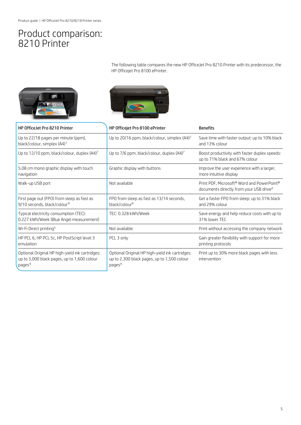## <span id="page-4-0"></span>Product comparison: 8210 Printer

The following table compares the new HP OfficeJet Pro 8210 Printer with its predecessor, the HP Officejet Pro 8100 ePrinter.





<span id="page-4-3"></span><span id="page-4-2"></span><span id="page-4-1"></span>

| <b>HP Office Jet Pro 8210 Printer</b>                                                                                | HP Officejet Pro 8100 ePrinter                                                                                       | <b>Benefits</b>                                                                                                           |
|----------------------------------------------------------------------------------------------------------------------|----------------------------------------------------------------------------------------------------------------------|---------------------------------------------------------------------------------------------------------------------------|
| Up to 22/18 pages per minute (ppm),<br>black/colour, simplex (A4)7                                                   | Up to 20/16 ppm, black/colour, simplex (A4)7                                                                         | Save time with faster output: up to 10% black<br>and 13% colour                                                           |
| Up to 12/10 ppm, black/colour, duplex (A4)7                                                                          | Up to $7/6$ ppm, black/colour, duplex $(A4)^7$                                                                       | Boost productivity with faster duplex speeds:<br>up to 71% black and 67% colour                                           |
| 5.08 cm mono graphic display with touch<br>navigation                                                                | Graphic display with buttons                                                                                         | Improve the user experience with a larger,<br>more intuitive display                                                      |
| Walk-up USB port                                                                                                     | Not available                                                                                                        | Print PDF, Microsoft <sup>®</sup> Word and PowerPoint <sup>®</sup><br>documents directly from your USB drive <sup>4</sup> |
| First page out (FPO) from sleep as fast as<br>$9/10$ seconds, black/colour <sup>8</sup>                              | FPO from sleep as fast as 13/14 seconds,<br>black/colour <sup>8</sup>                                                | Get a faster FPO from sleep: up to 31% black<br>and 29% colour                                                            |
| Typical electricity consumption (TEC):<br>0.227 kWh/Week (Blue Angel measurement)                                    | TEC: 0.328 kWh/Week                                                                                                  | Save energy and help reduce costs with up to<br>31% lower TEC                                                             |
| Wi-Fi Direct printing <sup>5</sup>                                                                                   | Not available                                                                                                        | Print without accessing the company network                                                                               |
| HP PCL 6, HP PCL 5c, HP PostScript level 3<br>emulation                                                              | PCL 3 only                                                                                                           | Gain greater flexibility with support for more<br>printing protocols                                                      |
| Optional Original HP high-yield ink cartridges:<br>up to 3,000 black pages, up to 1,600 colour<br>pages <sup>9</sup> | Optional Original HP high-yield ink cartridges:<br>up to 2,300 black pages, up to 1,500 colour<br>pages <sup>9</sup> | Print up to 30% more black pages with less<br>intervention                                                                |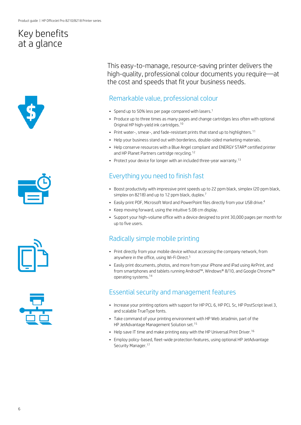## <span id="page-5-0"></span>Key benefits at a glance









This easy-to-manage, resource-saving printer delivers the high-quality, professional colour documents you require—at the cost and speeds that fit your business needs.

#### Remarkable value, professional colour

- Spend up to 50% less per page compared with lasers.<sup>1</sup>
- <span id="page-5-1"></span>• Produce up to three times as many pages and change cartridges less often with optional Original HP high-yield ink cartridges. [10](#page-3-13)
- <span id="page-5-2"></span>• Print water-, smear-, and fade-resistant prints that stand up to highlighters.<sup>[11](#page-3-14)</sup>
- Help your business stand out with borderless, double-sided marketing materials.
- Help conserve resources with a Blue Angel compliant and ENERGY STAR® certified printer and HP Planet Partners cartridge recycling.<sup>[12](#page-3-15)</sup>
- <span id="page-5-4"></span><span id="page-5-3"></span>• Protect your device for longer with an included three-year warranty.<sup>[13](#page-3-16)</sup>

#### Everything you need to finish fast

- Boost productivity with impressive print speeds up to 22 ppm black, simplex (20 ppm black, simplex on 8218) and up to 12 ppm black, duplex.<sup>7</sup>
- Easily print PDF, Microsoft Word and PowerPoint files directly from your USB driv[e.](#page-3-7)<sup>4</sup>
- Keep moving forward, using the intuitive 5.08 cm display.
- Support your high-volume office with a device designed to print 30,000 pages per month for up to five users.

#### Radically simple mobile printing

- Print directly from your mobile device without accessing the company network, from anywhere in the office, using Wi-Fi Direct. [5](#page-3-12)
- <span id="page-5-5"></span>• Easily print documents, photos, and more from your iPhone and iPad using AirPrint, and from smartphones and tablets running Android™, Windows® 8/10, and Google Chrome™ operating systems.[14](#page-3-17)

#### Essential security and management features

- Increase your printing options with support for HP PCL 6, HP PCL 5c, HP PostScript level 3, and scalable TrueType fonts.
- <span id="page-5-6"></span>• Take command of your printing environment with HP Web Jetadmin, part of the HP JetAdvantage Management Solution set.<sup>[15](#page-3-18)</sup>
- <span id="page-5-7"></span>• Help save IT time and make printing easy with the HP Universal Print Driver.<sup>[16](#page-3-19)</sup>
- <span id="page-5-8"></span>• Employ policy-based, fleet-wide protection features, using optional HP JetAdvantage Security Manager.<sup>[17](#page-3-20)</sup>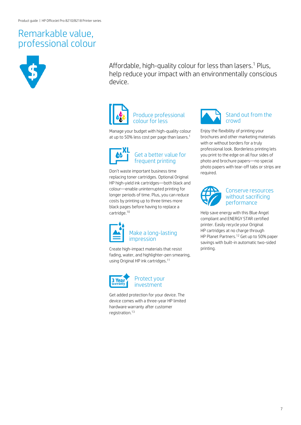## <span id="page-6-0"></span>Remarkable value, professional colour



Affordable, high-quality colour for less than lasers.<sup>1</sup> Plus, help reduce your impact with an environmentally conscious device.



#### Produce professional colour for less

Manage your budget with high-quality colour at up to 50% less cost per page than laser[s.](#page-2-1) 1



Don't waste important business time replacing toner cartridges. Optional Original HP high-yield ink cartridges—both black and colour—enable uninterrupted printing for longer periods of time. Plus, you can reduce costs by printing up to three times more black pages before having to replace a cartridge.<sup>[10](#page-5-1)</sup>



Create high-impact materials that resist fading, water, and highlighter-pen smearing, using Original HP ink cartridges. [11](#page-5-2)



Protect your investment

Get added protection for your device. The device comes with a three-year HP limited hardware warranty after customer registration. [13](#page-5-3)



#### Stand out from the crowd

Enjoy the flexibility of printing your brochures and other marketing materials with or without borders for a truly professional look. Borderless printing lets you print to the edge on all four sides of photo and brochure papers—no special photo papers with tear-off tabs or strips are required.



#### Conserve resources without sacrificing performance

Help save energy with this Blue Angel compliant and ENERGY STAR certified printer. Easily recycle your Original HP cartridges at no charge through HP Planet Partners. [12](#page-5-4) Get up to 50% paper savings with built-in automatic two-sided printing.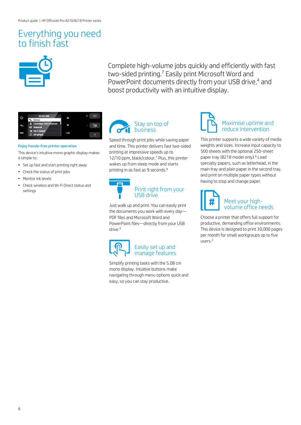## <span id="page-7-0"></span>Everything you need to finish fast



Complete high-volume jobs quickly and efficiently with fast two-sided printing[.7](#page-4-1) Easily print Microsoft Word and PowerPoint documents directly from your USB drive,<sup>4</sup> and boost productivity with an intuitive display.

| 08:00 AM                                         |   |
|--------------------------------------------------|---|
| Setup                                            |   |
| <b>6</b> Cartidge Information<br>-14 Network     | ۰ |
| <b>Gy Wi-Fi Direct</b><br><br><b>B</b> HP ePrint |   |

#### Enjoy hassle-free printer operation

This device's intuitive mono graphic display makes it simple to:

- Set up fast and start printing right away
- Check the status of print jobs
- Monitor ink levels
- Check wireless and Wi-Fi Direct status and settings



Speed through print jobs while saving paper and time. This printer delivers fast two-sided printing at impressive speeds up to 12/10 ppm, black/colour. [7](#page-4-1) Plus, this printer wakes up from sleep mode and starts printing in as fast as 9 second[s.8](#page-4-2)

## Print right from your USB drive

Just walk up and print. You can easily print the documents you work with every day— PDF files and Microsoft Word and PowerPoint files—directly from your USB driv[e.4](#page-3-7)



Simplify printing tasks with the 5.08 cm mono display. Intuitive buttons make navigating through menu options quick and easy, so you can stay productive.

## Maximise uptime and reduce intervention

This printer supports a wide variety of media weights and sizes. Increase input capacity to 500 sheets with the optional 250-sheet paper tray (8218 model only[\).](#page-3-21) <sup>6</sup> Load specialty papers, such as letterhead, in the main tray and plain paper in the second tray, and print on multiple paper types without having to stop and change paper.



#### Meet your highvolume office needs

Choose a printer that offers full support for productive, demanding office environments. This device is designed to print 30,000 pages per month for small workgroups up to five user[s.3](#page-2-2)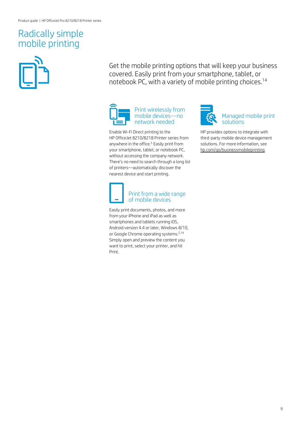## <span id="page-8-0"></span>Radically simple mobile printing



Get the mobile printing options that will keep your business covered. Easily print from your smartphone, tablet, or notebook PC, with a variety of mobile printing choices[.14](#page-5-5)



Enable Wi-Fi Direct printing to the HP OfficeJet 8210/8218 Printer series from anywhere in the offic[e.](#page-3-12) <sup>5</sup> Easily print from your smartphone, tablet, or notebook PC, without accessing the company network. There's no need to search through a long list of printers—automatically discover the nearest device and start printing.

### Print from a wide range of mobile devices

Easily print documents, photos, and more from your iPhone and iPad as well as smartphones and tablets running iOS, Android version 4.4 or later, Windows 8/10, or Google Chrome operating systems.<sup>[2,](#page-2-3)[14](#page-5-5)</sup> Simply open and preview the content you want to print, select your printer, and hit Print.



Managed mobile print solutions

HP provides options to integrate with third-party mobile device management solutions. For more information, see [hp.com/go/businessmobileprinting.](http://www.hp.com/go/businessmobileprinting)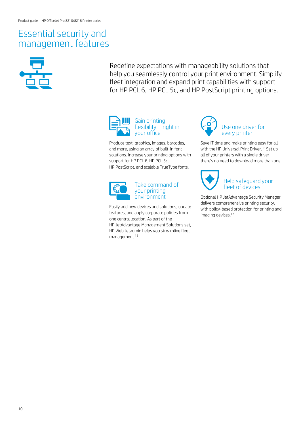## <span id="page-9-0"></span>Essential security and management features



Redefine expectations with manageability solutions that help you seamlessly control your print environment. Simplify fleet integration and expand print capabilities with support for HP PCL 6, HP PCL 5c, and HP PostScript printing options.



Produce text, graphics, images, barcodes, and more, using an array of built-in font solutions. Increase your printing options with support for HP PCL 6, HP PCL 5c, HP PostScript, and scalable TrueType fonts.



#### Take command of your printing environment

Easily add new devices and solutions, update features, and apply corporate policies from one central location. As part of the HP JetAdvantage Management Solutions set, HP Web Jetadmin helps you streamline fleet management[.15](#page-5-6)



Save IT time and make printing easy for all with the HP Universal Print Driver.<sup>16</sup> Set up all of your printers with a single driver there's no need to download more than one.



Optional HP JetAdvantage Security Manager delivers comprehensive printing security, with policy-based protection for printing and imaging devices. [17](#page-5-8)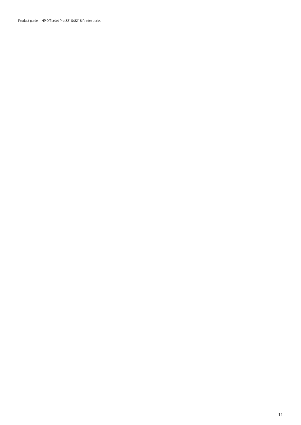Product guide | HP OfficeJet Pro 8210/8218 Printer series